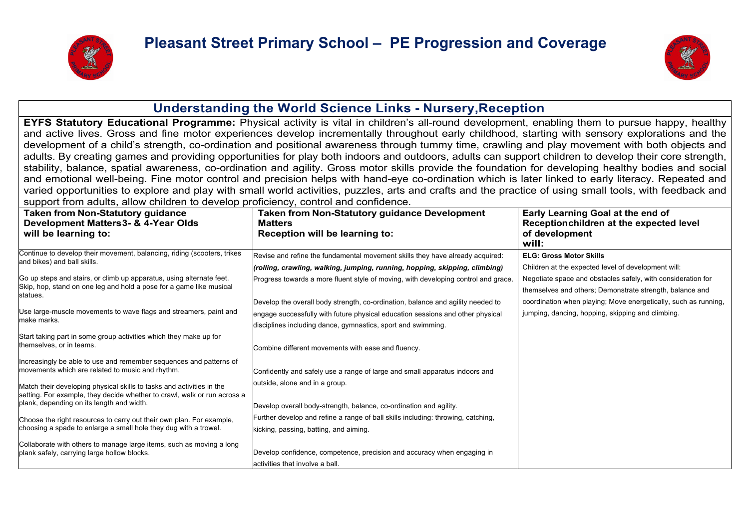



#### **Understanding the World Science Links - Nursery,Reception**

**EYFS Statutory Educational Programme:** Physical activity is vital in children's all-round development, enabling them to pursue happy, healthy and active lives. Gross and fine motor experiences develop incrementally throughout early childhood, starting with sensory explorations and the development of a child's strength, co-ordination and positional awareness through tummy time, crawling and play movement with both objects and adults. By creating games and providing opportunities for play both indoors and outdoors, adults can support children to develop their core strength, stability, balance, spatial awareness, co-ordination and agility. Gross motor skills provide the foundation for developing healthy bodies and social and emotional well-being. Fine motor control and precision helps with hand-eye co-ordination which is later linked to early literacy. Repeated and varied opportunities to explore and play with small world activities, puzzles, arts and crafts and the practice of using small tools, with feedback and support from adults, allow children to develop proficiency, control and confidence.

| <b>Taken from Non-Statutory guidance</b><br>Development Matters 3- & 4-Year Olds<br>will be learning to:                                                | Taken from Non-Statutory guidance Development<br><b>Matters</b><br>Reception will be learning to:          | Early Learning Goal at the end of<br>Receptionchildren at the expected level<br>of development<br>will:                  |
|---------------------------------------------------------------------------------------------------------------------------------------------------------|------------------------------------------------------------------------------------------------------------|--------------------------------------------------------------------------------------------------------------------------|
| Continue to develop their movement, balancing, riding (scooters, trikes                                                                                 | Revise and refine the fundamental movement skills they have already acquired:                              | <b>ELG: Gross Motor Skills</b>                                                                                           |
| and bikes) and ball skills.                                                                                                                             | (rolling, crawling, walking, jumping, running, hopping, skipping, climbing)                                | Children at the expected level of development will:                                                                      |
| Go up steps and stairs, or climb up apparatus, using alternate feet.<br>Skip, hop, stand on one leg and hold a pose for a game like musical<br>statues. | Progress towards a more fluent style of moving, with developing control and grace.                         | Negotiate space and obstacles safely, with consideration for<br>themselves and others; Demonstrate strength, balance and |
|                                                                                                                                                         | Develop the overall body strength, co-ordination, balance and agility needed to                            | coordination when playing; Move energetically, such as running,                                                          |
| Use large-muscle movements to wave flags and streamers, paint and                                                                                       | engage successfully with future physical education sessions and other physical                             | jumping, dancing, hopping, skipping and climbing.                                                                        |
| make marks.                                                                                                                                             | disciplines including dance, gymnastics, sport and swimming.                                               |                                                                                                                          |
| Start taking part in some group activities which they make up for<br>themselves, or in teams.                                                           | Combine different movements with ease and fluency.                                                         |                                                                                                                          |
| Increasingly be able to use and remember sequences and patterns of<br>movements which are related to music and rhythm.                                  | Confidently and safely use a range of large and small apparatus indoors and                                |                                                                                                                          |
| Match their developing physical skills to tasks and activities in the<br>setting. For example, they decide whether to crawl, walk or run across a       | outside, alone and in a group.                                                                             |                                                                                                                          |
| plank, depending on its length and width.                                                                                                               | Develop overall body-strength, balance, co-ordination and agility.                                         |                                                                                                                          |
| Choose the right resources to carry out their own plan. For example,                                                                                    | Further develop and refine a range of ball skills including: throwing, catching,                           |                                                                                                                          |
| choosing a spade to enlarge a small hole they dug with a trowel.                                                                                        | kicking, passing, batting, and aiming.                                                                     |                                                                                                                          |
| Collaborate with others to manage large items, such as moving a long<br>plank safely, carrying large hollow blocks.                                     | Develop confidence, competence, precision and accuracy when engaging in<br>activities that involve a ball. |                                                                                                                          |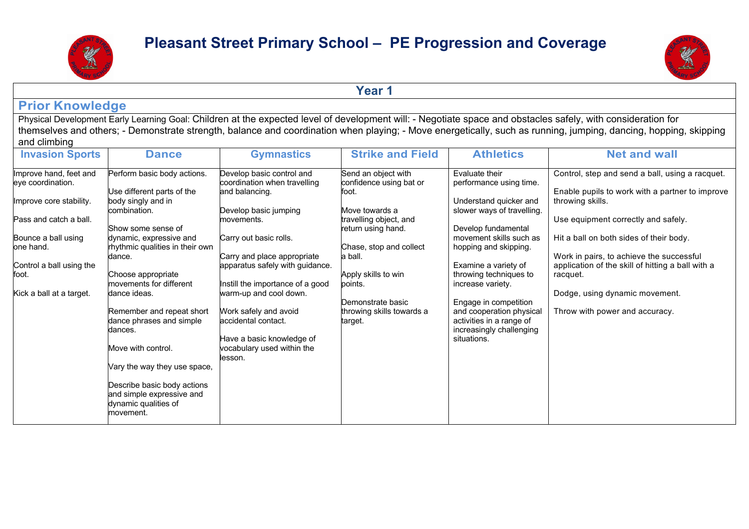



**Year 1**

#### **Prior Knowledge**

Physical Development Early Learning Goal: Children at the expected level of development will: - Negotiate space and obstacles safely, with consideration for themselves and others; - Demonstrate strength, balance and coordination when playing; - Move energetically, such as running, jumping, dancing, hopping, skipping and climbing

| <b>Invasion Sports</b>                      | <b>Dance</b>                                                                                  | <b>Gymnastics</b>                                                           | <b>Strike and Field</b>                                 | <b>Athletics</b>                                                                 | <b>Net and wall</b>                                                                                |
|---------------------------------------------|-----------------------------------------------------------------------------------------------|-----------------------------------------------------------------------------|---------------------------------------------------------|----------------------------------------------------------------------------------|----------------------------------------------------------------------------------------------------|
| Improve hand, feet and<br>eye coordination. | Perform basic body actions.<br>Use different parts of the                                     | Develop basic control and<br>coordination when travelling<br>and balancing. | Send an object with<br>confidence using bat or<br>foot. | Evaluate their<br>performance using time.                                        | Control, step and send a ball, using a racquet.<br>Enable pupils to work with a partner to improve |
| Improve core stability.                     | body singly and in<br>combination.                                                            | Develop basic jumping                                                       | Move towards a                                          | Understand quicker and<br>slower ways of travelling.                             | throwing skills.                                                                                   |
| Pass and catch a ball.                      | Show some sense of                                                                            | movements.                                                                  | travelling object, and<br>return using hand.            | Develop fundamental                                                              | Use equipment correctly and safely.                                                                |
| Bounce a ball using<br>one hand.            | dynamic, expressive and<br>rhythmic qualities in their own<br>dance.                          | Carry out basic rolls.<br>Carry and place appropriate                       | Chase, stop and collect<br>a ball.                      | movement skills such as<br>hopping and skipping.                                 | Hit a ball on both sides of their body.<br>Work in pairs, to achieve the successful                |
| Control a ball using the<br>foot.           | Choose appropriate                                                                            | apparatus safely with guidance.                                             | Apply skills to win                                     | Examine a variety of<br>throwing techniques to                                   | application of the skill of hitting a ball with a<br>racquet.                                      |
| Kick a ball at a target.                    | movements for different<br>dance ideas.                                                       | Instill the importance of a good<br>warm-up and cool down.                  | points.<br>Demonstrate basic                            | increase variety.<br>Engage in competition                                       | Dodge, using dynamic movement.                                                                     |
|                                             | Remember and repeat short<br>dance phrases and simple<br>dances.                              | Work safely and avoid<br>accidental contact.                                | throwing skills towards a<br>target.                    | and cooperation physical<br>activities in a range of<br>increasingly challenging | Throw with power and accuracy.                                                                     |
|                                             | Move with control.                                                                            | Have a basic knowledge of<br>vocabulary used within the<br>lesson.          |                                                         | situations.                                                                      |                                                                                                    |
|                                             | Vary the way they use space,                                                                  |                                                                             |                                                         |                                                                                  |                                                                                                    |
|                                             | Describe basic body actions<br>and simple expressive and<br>dynamic qualities of<br>movement. |                                                                             |                                                         |                                                                                  |                                                                                                    |
|                                             |                                                                                               |                                                                             |                                                         |                                                                                  |                                                                                                    |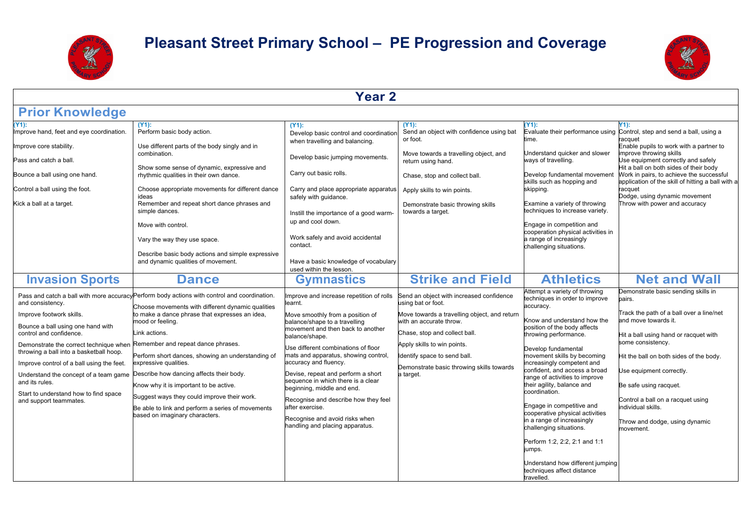



| <b>Year 2</b>                                                                                                                                                                                                                                                                                                                                                                                                                             |                                                                                                                                                                                                                                                                                                                                                                                                                                                                                                                                                                    |                                                                                                                                                                                                                                                                                                                                                                                                                                                                                                                                                                                   |                                                                                                                                                                                                                                                                                                                                |                                                                                                                                                                                                                                                                                                                                                                                                                                                                                                                                                                                                                                     |                                                                                                                                                                                                                                                                                                                                                                                                                   |  |
|-------------------------------------------------------------------------------------------------------------------------------------------------------------------------------------------------------------------------------------------------------------------------------------------------------------------------------------------------------------------------------------------------------------------------------------------|--------------------------------------------------------------------------------------------------------------------------------------------------------------------------------------------------------------------------------------------------------------------------------------------------------------------------------------------------------------------------------------------------------------------------------------------------------------------------------------------------------------------------------------------------------------------|-----------------------------------------------------------------------------------------------------------------------------------------------------------------------------------------------------------------------------------------------------------------------------------------------------------------------------------------------------------------------------------------------------------------------------------------------------------------------------------------------------------------------------------------------------------------------------------|--------------------------------------------------------------------------------------------------------------------------------------------------------------------------------------------------------------------------------------------------------------------------------------------------------------------------------|-------------------------------------------------------------------------------------------------------------------------------------------------------------------------------------------------------------------------------------------------------------------------------------------------------------------------------------------------------------------------------------------------------------------------------------------------------------------------------------------------------------------------------------------------------------------------------------------------------------------------------------|-------------------------------------------------------------------------------------------------------------------------------------------------------------------------------------------------------------------------------------------------------------------------------------------------------------------------------------------------------------------------------------------------------------------|--|
| <b>Prior Knowledge</b>                                                                                                                                                                                                                                                                                                                                                                                                                    |                                                                                                                                                                                                                                                                                                                                                                                                                                                                                                                                                                    |                                                                                                                                                                                                                                                                                                                                                                                                                                                                                                                                                                                   |                                                                                                                                                                                                                                                                                                                                |                                                                                                                                                                                                                                                                                                                                                                                                                                                                                                                                                                                                                                     |                                                                                                                                                                                                                                                                                                                                                                                                                   |  |
| (Y1):<br>Improve hand, feet and eye coordination.<br>Improve core stability.<br>Pass and catch a ball.<br>Bounce a ball using one hand.<br>Control a ball using the foot.<br>Kick a ball at a target.                                                                                                                                                                                                                                     | $(Y1)$ :<br>Perform basic body action.<br>Use different parts of the body singly and in<br>combination.<br>Show some sense of dynamic, expressive and<br>rhythmic qualities in their own dance.<br>Choose appropriate movements for different dance<br>ideas<br>Remember and repeat short dance phrases and<br>simple dances.<br>Move with control.<br>Vary the way they use space.<br>Describe basic body actions and simple expressive<br>and dynamic qualities of movement.                                                                                     | $(Y1)$ :<br>Develop basic control and coordination<br>when travelling and balancing.<br>Develop basic jumping movements.<br>Carry out basic rolls.<br>Carry and place appropriate apparatus<br>safely with guidance.<br>Instill the importance of a good warm-<br>up and cool down.<br>Work safely and avoid accidental<br>contact.<br>Have a basic knowledge of vocabulary                                                                                                                                                                                                       | $(Y1)$ :<br>Send an object with confidence using bat<br>or foot.<br>Move towards a travelling object, and<br>return using hand.<br>Chase, stop and collect ball.<br>Apply skills to win points.<br>Demonstrate basic throwing skills<br>towards a target.                                                                      | Y1):<br>Evaluate their performance using<br>time.<br>Understand quicker and slower<br>ways of travelling.<br>Develop fundamental movement<br>skills such as hopping and<br>skipping.<br>Examine a variety of throwing<br>techniques to increase variety.<br>Engage in competition and<br>cooperation physical activities in<br>a range of increasingly<br>challenging situations.                                                                                                                                                                                                                                                   | Y1):<br>Control, step and send a ball, using a<br>racquet<br>Enable pupils to work with a partner to<br>improve throwing skills<br>Use equipment correctly and safely<br>Hit a ball on both sides of their body<br>Work in pairs, to achieve the successful<br>application of the skill of hitting a ball with a<br>racquet<br>Dodge, using dynamic movement<br>Throw with power and accuracy                     |  |
| <b>Invasion Sports</b><br>and consistency.<br>Improve footwork skills.<br>Bounce a ball using one hand with<br>control and confidence.<br>Demonstrate the correct technique when Remember and repeat dance phrases.<br>throwing a ball into a basketball hoop.<br>Improve control of a ball using the feet.<br>Understand the concept of a team game<br>and its rules.<br>Start to understand how to find space<br>and support teammates. | <b>Dance</b><br>Pass and catch a ball with more accuracy Perform body actions with control and coordination.<br>Choose movements with different dynamic qualities<br>to make a dance phrase that expresses an idea,<br>mood or feeling.<br>Link actions.<br>Perform short dances, showing an understanding of<br>expressive qualities.<br>Describe how dancing affects their body.<br>Know why it is important to be active.<br>Suggest ways they could improve their work.<br>Be able to link and perform a series of movements<br>based on imaginary characters. | used within the lesson.<br><b>Gymnastics</b><br>Improve and increase repetition of rolls<br>learnt.<br>Move smoothly from a position of<br>balance/shape to a travelling<br>movement and then back to another<br>balance/shape.<br>Use different combinations of floor<br>mats and apparatus, showing control,<br>accuracy and fluency.<br>Devise, repeat and perform a short<br>sequence in which there is a clear<br>beginning, middle and end.<br>Recognise and describe how they feel<br>after exercise.<br>Recognise and avoid risks when<br>handling and placing apparatus. | <b>Strike and Field</b><br>Send an object with increased confidence<br>using bat or foot.<br>Move towards a travelling object, and return<br>with an accurate throw.<br>Chase, stop and collect ball.<br>Apply skills to win points.<br>Identify space to send ball.<br>Demonstrate basic throwing skills towards<br>a target. | <b>Athletics</b><br>Attempt a variety of throwing<br>techniques in order to improve<br>accuracy.<br>Know and understand how the<br>position of the body affects<br>throwing performance.<br>Develop fundamental<br>movement skills by becoming<br>increasingly competent and<br>confident, and access a broad<br>range of activities to improve<br>their agility, balance and<br>coordination.<br>Engage in competitive and<br>cooperative physical activities<br>in a range of increasingly<br>challenging situations.<br>Perform 1:2, 2:2, 2:1 and 1:1<br>umps.<br>Understand how different jumping<br>techniques affect distance | <b>Net and Wall</b><br>Demonstrate basic sending skills in<br>pairs.<br>Track the path of a ball over a line/net<br>and move towards it.<br>Hit a ball using hand or racquet with<br>some consistency.<br>Hit the ball on both sides of the body.<br>Use equipment correctly.<br>Be safe using racquet.<br>Control a ball on a racquet using<br>individual skills.<br>Throw and dodge, using dynamic<br>movement. |  |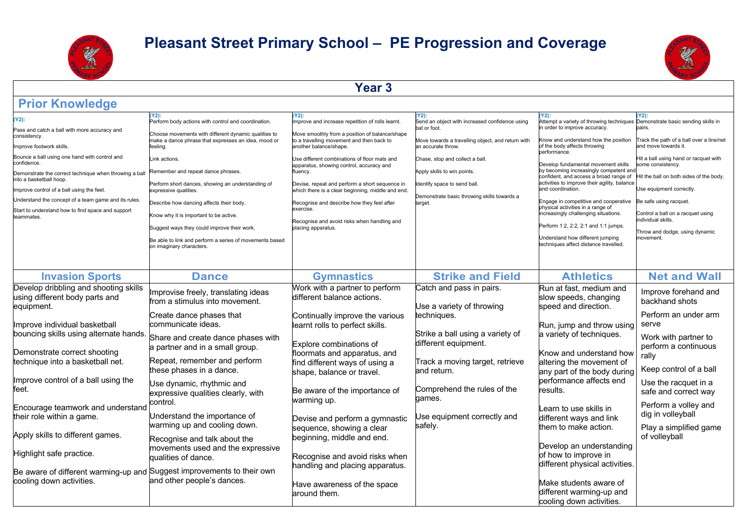



**Year 3**

| <b>Prior Knowledge</b>                                                                                                                                                                                                                                                                                                                                                                                                       |                                                                                                                                                                                                                                                                                                                                                                                                                                                                                                                                                        |                                                                                                                                                                                                                                                                                                                                                                                                                                                                                                                                |                                                                                                                                                                                                                                                                                                                |                                                                                                                                                                                                                                                                                                                                                                                                                                                                                                                                                                                                                                                         |                                                                                                                                                                                                                                                                                                                                                             |
|------------------------------------------------------------------------------------------------------------------------------------------------------------------------------------------------------------------------------------------------------------------------------------------------------------------------------------------------------------------------------------------------------------------------------|--------------------------------------------------------------------------------------------------------------------------------------------------------------------------------------------------------------------------------------------------------------------------------------------------------------------------------------------------------------------------------------------------------------------------------------------------------------------------------------------------------------------------------------------------------|--------------------------------------------------------------------------------------------------------------------------------------------------------------------------------------------------------------------------------------------------------------------------------------------------------------------------------------------------------------------------------------------------------------------------------------------------------------------------------------------------------------------------------|----------------------------------------------------------------------------------------------------------------------------------------------------------------------------------------------------------------------------------------------------------------------------------------------------------------|---------------------------------------------------------------------------------------------------------------------------------------------------------------------------------------------------------------------------------------------------------------------------------------------------------------------------------------------------------------------------------------------------------------------------------------------------------------------------------------------------------------------------------------------------------------------------------------------------------------------------------------------------------|-------------------------------------------------------------------------------------------------------------------------------------------------------------------------------------------------------------------------------------------------------------------------------------------------------------------------------------------------------------|
| (Y2):<br>Pass and catch a ball with more accuracy and<br>consistency.<br>mprove footwork skills<br>Bounce a ball using one hand with control and<br>confidence.<br>Demonstrate the correct technique when throwing a ball<br>into a basketball hoop.<br>Improve control of a ball using the feet.<br>Understand the concept of a team game and its rules.<br>Start to understand how to find space and support<br>teammates. | Y2):<br>Perform body actions with control and coordination.<br>Choose movements with different dynamic qualities to<br>make a dance phrase that expresses an idea, mood or<br>feeling.<br>ink actions.<br>Remember and repeat dance phrases.<br>Perform short dances, showing an understanding of<br>expressive qualities.<br>Describe how dancing affects their body.<br>Know why it is important to be active.<br>Suggest ways they could improve their work.<br>Be able to link and perform a series of movements based<br>on imaginary characters. | Y2):<br>mprove and increase repetition of rolls learnt.<br>Move smoothly from a position of balance/shape<br>to a travelling movement and then back to<br>another balance/shape.<br>Use different combinations of floor mats and<br>apparatus, showing control, accuracy and<br>luency.<br>Devise, repeat and perform a short sequence in<br>which there is a clear beginning, middle and end.<br>Recognise and describe how they feel after<br>exercise.<br>Recognise and avoid risks when handling and<br>placing apparatus. | (Y2):<br>Send an object with increased confidence using<br>bat or foot.<br>Move towards a travelling object, and return with<br>an accurate throw.<br>Chase, stop and collect a ball.<br>Apply skills to win points.<br>Identify space to send ball.<br>Demonstrate basic throwing skills towards a<br>target. | Y2):<br>Attempt a variety of throwing techniques Demonstrate basic sending skills in<br>n order to improve accuracy.<br>Know and understand how the position<br>of the body affects throwing<br>performance.<br>Develop fundamental movement skills<br>by becoming increasingly competent and<br>confident, and access a broad range of<br>activities to improve their agility, balance<br>and coordination.<br>Engage in competitive and cooperative<br>physical activities in a range of<br>increasingly challenging situations.<br>Perform 1:2, 2:2, 2:1 and 1:1 jumps.<br>Understand how different jumping<br>techniques affect distance travelled. | Y2):<br>pairs.<br>Track the path of a ball over a line/net<br>and move towards it.<br>Hit a ball using hand or racquet with<br>some consistency.<br>Hit the ball on both sides of the body.<br>Use equipment correctly.<br>Be safe using racquet.<br>Control a ball on a racquet using<br>individual skills.<br>Throw and dodge, using dynamic<br>movement. |
| <b>Invasion Sports</b>                                                                                                                                                                                                                                                                                                                                                                                                       | <b>Dance</b>                                                                                                                                                                                                                                                                                                                                                                                                                                                                                                                                           | <b>Gymnastics</b>                                                                                                                                                                                                                                                                                                                                                                                                                                                                                                              | <b>Strike and Field</b>                                                                                                                                                                                                                                                                                        | <b>Athletics</b>                                                                                                                                                                                                                                                                                                                                                                                                                                                                                                                                                                                                                                        | <b>Net and Wall</b>                                                                                                                                                                                                                                                                                                                                         |
| Develop dribbling and shooting skills<br>using different body parts and<br>equipment.                                                                                                                                                                                                                                                                                                                                        | Improvise freely, translating ideas<br>from a stimulus into movement.<br>Create dance phases that                                                                                                                                                                                                                                                                                                                                                                                                                                                      | Work with a partner to perform<br>different balance actions.<br>Continually improve the various                                                                                                                                                                                                                                                                                                                                                                                                                                | Catch and pass in pairs.<br>Use a variety of throwing<br>techniques.                                                                                                                                                                                                                                           | Run at fast, medium and<br>slow speeds, changing<br>speed and direction.                                                                                                                                                                                                                                                                                                                                                                                                                                                                                                                                                                                | Improve forehand and<br>backhand shots<br>Perform an under arm                                                                                                                                                                                                                                                                                              |
| Improve individual basketball<br>bouncing skills using alternate hands.                                                                                                                                                                                                                                                                                                                                                      | communicate ideas.<br>Share and create dance phases with                                                                                                                                                                                                                                                                                                                                                                                                                                                                                               | learnt rolls to perfect skills.<br>Explore combinations of                                                                                                                                                                                                                                                                                                                                                                                                                                                                     | Strike a ball using a variety of<br>different equipment.                                                                                                                                                                                                                                                       | Run, jump and throw using<br>a variety of techniques.                                                                                                                                                                                                                                                                                                                                                                                                                                                                                                                                                                                                   | serve<br>Work with partner to<br>perform a continuous                                                                                                                                                                                                                                                                                                       |
| Demonstrate correct shooting<br>technique into a basketball net.                                                                                                                                                                                                                                                                                                                                                             | a partner and in a small group.<br>Repeat, remember and perform<br>these phases in a dance.                                                                                                                                                                                                                                                                                                                                                                                                                                                            | floormats and apparatus, and<br>find different ways of using a<br>shape, balance or travel.                                                                                                                                                                                                                                                                                                                                                                                                                                    | Track a moving target, retrieve<br>and return.                                                                                                                                                                                                                                                                 | Know and understand how<br>altering the movement of<br>any part of the body during                                                                                                                                                                                                                                                                                                                                                                                                                                                                                                                                                                      | rally<br>Keep control of a ball                                                                                                                                                                                                                                                                                                                             |
| Improve control of a ball using the<br>feet.                                                                                                                                                                                                                                                                                                                                                                                 | Use dynamic, rhythmic and<br>expressive qualities clearly, with<br>control.                                                                                                                                                                                                                                                                                                                                                                                                                                                                            | Be aware of the importance of<br>warming up.                                                                                                                                                                                                                                                                                                                                                                                                                                                                                   | Comprehend the rules of the<br>aames.                                                                                                                                                                                                                                                                          | performance affects end<br>results.                                                                                                                                                                                                                                                                                                                                                                                                                                                                                                                                                                                                                     | Use the racquet in a<br>safe and correct way<br>Perform a volley and                                                                                                                                                                                                                                                                                        |
| Encourage teamwork and understand<br>their role within a game.                                                                                                                                                                                                                                                                                                                                                               | Understand the importance of<br>warming up and cooling down.                                                                                                                                                                                                                                                                                                                                                                                                                                                                                           | Devise and perform a gymnastic<br>sequence, showing a clear                                                                                                                                                                                                                                                                                                                                                                                                                                                                    | Jse equipment correctly and<br>safely.                                                                                                                                                                                                                                                                         | Learn to use skills in<br>different ways and link<br>them to make action.                                                                                                                                                                                                                                                                                                                                                                                                                                                                                                                                                                               | dig in volleyball<br>Play a simplified game                                                                                                                                                                                                                                                                                                                 |
| Apply skills to different games.<br>Highlight safe practice.                                                                                                                                                                                                                                                                                                                                                                 | Recognise and talk about the<br>movements used and the expressive                                                                                                                                                                                                                                                                                                                                                                                                                                                                                      | beginning, middle and end.                                                                                                                                                                                                                                                                                                                                                                                                                                                                                                     |                                                                                                                                                                                                                                                                                                                | Develop an understanding<br>of how to improve in                                                                                                                                                                                                                                                                                                                                                                                                                                                                                                                                                                                                        | of volleyball                                                                                                                                                                                                                                                                                                                                               |
| Be aware of different warming-up and Suggest improvements to their own<br>cooling down activities.                                                                                                                                                                                                                                                                                                                           | qualities of dance.<br>and other people's dances.                                                                                                                                                                                                                                                                                                                                                                                                                                                                                                      | Recognise and avoid risks when<br>handling and placing apparatus.<br>Have awareness of the space<br>around them.                                                                                                                                                                                                                                                                                                                                                                                                               |                                                                                                                                                                                                                                                                                                                | different physical activities.<br>Make students aware of<br>different warming-up and<br>cooling down activities.                                                                                                                                                                                                                                                                                                                                                                                                                                                                                                                                        |                                                                                                                                                                                                                                                                                                                                                             |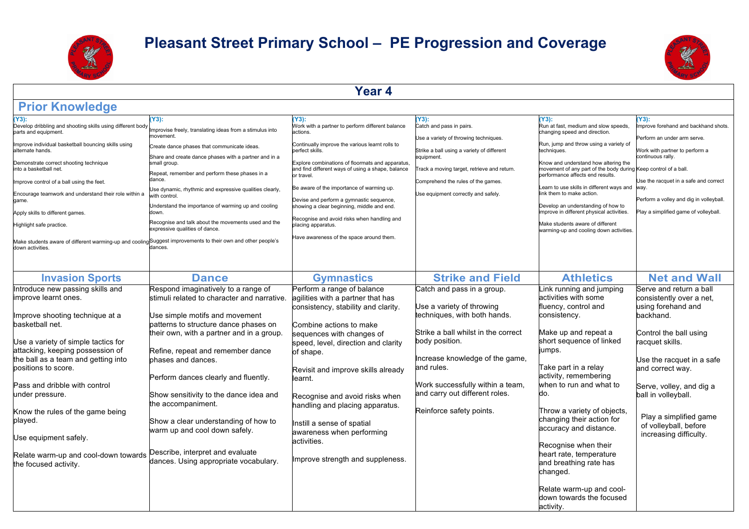



**Year 4**

| mprovise freely, translating ideas from a stimulus into<br>novement.<br>Create dance phases that communicate ideas.<br>Share and create dance phases with a partner and in a<br>small group.<br>Repeat, remember and perform these phases in a<br>dance.<br>Jse dynamic, rhythmic and expressive qualities clearly,<br>ith control.<br>Inderstand the importance of warming up and cooling<br>Recognise and talk about the movements used and the<br>xpressive qualities of dance.<br>Make students aware of different warming-up and cooling Suggest improvements to their own and other people's<br>dances. | Y3):<br>Nork with a partner to perform different balance<br>actions.<br>Continually improve the various learnt rolls to<br>perfect skills.<br>Explore combinations of floormats and apparatus,<br>Be aware of the importance of warming up.<br>Devise and perform a gymnastic sequence,<br>showing a clear beginning, middle and end.<br>Recognise and avoid risks when handling and<br>placing apparatus.<br>Have awareness of the space around them. | Y3):<br>rack a moving target, retrieve and return.<br>Use equipment correctly and safely.                                                                                                                                                                                                                                                                                                                                                                                                                                           | Y3):<br>Run at fast, medium and slow speeds,<br>changing speed and direction.<br>Run, jump and throw using a variety of<br>techniques.<br>Know and understand how altering the<br>performance affects end results.<br>ink them to make action.<br>Develop an understanding of how to<br>mprove in different physical activities.<br>Make students aware of different<br>warming-up and cooling down activities.                                                                                       | (Y3):<br>mprove forehand and backhand shots.<br>Perform an under arm serve.<br>Work with partner to perform a<br>continuous rally.<br>Use the racquet in a safe and correct<br>Perform a volley and dig in volleyball.<br>Play a simplified game of volleyball. |
|---------------------------------------------------------------------------------------------------------------------------------------------------------------------------------------------------------------------------------------------------------------------------------------------------------------------------------------------------------------------------------------------------------------------------------------------------------------------------------------------------------------------------------------------------------------------------------------------------------------|--------------------------------------------------------------------------------------------------------------------------------------------------------------------------------------------------------------------------------------------------------------------------------------------------------------------------------------------------------------------------------------------------------------------------------------------------------|-------------------------------------------------------------------------------------------------------------------------------------------------------------------------------------------------------------------------------------------------------------------------------------------------------------------------------------------------------------------------------------------------------------------------------------------------------------------------------------------------------------------------------------|-------------------------------------------------------------------------------------------------------------------------------------------------------------------------------------------------------------------------------------------------------------------------------------------------------------------------------------------------------------------------------------------------------------------------------------------------------------------------------------------------------|-----------------------------------------------------------------------------------------------------------------------------------------------------------------------------------------------------------------------------------------------------------------|
|                                                                                                                                                                                                                                                                                                                                                                                                                                                                                                                                                                                                               |                                                                                                                                                                                                                                                                                                                                                                                                                                                        |                                                                                                                                                                                                                                                                                                                                                                                                                                                                                                                                     |                                                                                                                                                                                                                                                                                                                                                                                                                                                                                                       | <b>Net and Wall</b>                                                                                                                                                                                                                                             |
| Respond imaginatively to a range of<br>stimuli related to character and narrative.<br>Use simple motifs and movement                                                                                                                                                                                                                                                                                                                                                                                                                                                                                          |                                                                                                                                                                                                                                                                                                                                                                                                                                                        |                                                                                                                                                                                                                                                                                                                                                                                                                                                                                                                                     | Link running and jumping<br>activities with some<br>fluency, control and<br>consistency.                                                                                                                                                                                                                                                                                                                                                                                                              | Serve and return a ball<br>consistently over a net,<br>using forehand and<br>backhand.                                                                                                                                                                          |
| patterns to structure dance phases on<br>their own, with a partner and in a group.<br>Refine, repeat and remember dance<br>phases and dances.<br>Perform dances clearly and fluently.<br>Show sensitivity to the dance idea and<br>the accompaniment.<br>Show a clear understanding of how to<br>warm up and cool down safely.<br>Describe, interpret and evaluate<br>dances. Using appropriate vocabulary.                                                                                                                                                                                                   | learnt.                                                                                                                                                                                                                                                                                                                                                                                                                                                |                                                                                                                                                                                                                                                                                                                                                                                                                                                                                                                                     | Make up and repeat a<br>short sequence of linked<br>jumps.<br>Take part in a relay<br>activity, remembering<br>when to run and what to<br>do.<br>Throw a variety of objects.<br>changing their action for<br>accuracy and distance.<br>Recognise when their<br>heart rate, temperature<br>and breathing rate has<br>changed.<br>Relate warm-up and cool-                                                                                                                                              | Control the ball using<br>racquet skills.<br>Use the racquet in a safe<br>and correct way.<br>Serve, volley, and dig a<br>ball in volleyball.<br>Play a simplified game<br>of volleyball, before<br>increasing difficulty.                                      |
|                                                                                                                                                                                                                                                                                                                                                                                                                                                                                                                                                                                                               | <b>Dance</b>                                                                                                                                                                                                                                                                                                                                                                                                                                           | and find different ways of using a shape, balance<br>or travel.<br><b>Gymnastics</b><br>Perform a range of balance<br>agilities with a partner that has<br>consistency, stability and clarity.<br>Combine actions to make<br>sequences with changes of<br>speed, level, direction and clarity<br>of shape.<br>Revisit and improve skills already<br>Recognise and avoid risks when<br>handling and placing apparatus.<br>Instill a sense of spatial<br>awareness when performing<br>activities.<br>Improve strength and suppleness. | Catch and pass in pairs.<br>Use a variety of throwing techniques.<br>Strike a ball using a variety of different<br>equipment.<br>Comprehend the rules of the games.<br><b>Strike and Field</b><br>Catch and pass in a group.<br>Use a variety of throwing<br>techniques, with both hands.<br>Strike a ball whilst in the correct<br>body position.<br>Increase knowledge of the game,<br>and rules.<br>Work successfully within a team,<br>and carry out different roles.<br>Reinforce safety points. | movement of any part of the body during Keep control of a ball.<br>Learn to use skills in different ways and way.<br><b>Athletics</b><br>down towards the focused<br>activity.                                                                                  |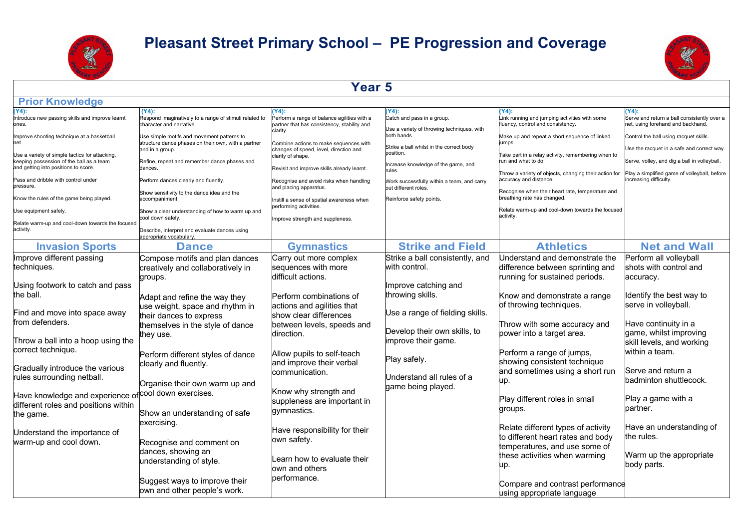



#### **Year 5**

| <b>Prior Knowledge</b>                                                                                                             |                                                                                                                      |                                                                                                     |                                                                                    |                                                                                                                                    |                                                                                              |
|------------------------------------------------------------------------------------------------------------------------------------|----------------------------------------------------------------------------------------------------------------------|-----------------------------------------------------------------------------------------------------|------------------------------------------------------------------------------------|------------------------------------------------------------------------------------------------------------------------------------|----------------------------------------------------------------------------------------------|
| $(Y4)$ :<br>Introduce new passing skills and improve learnt<br>ones.                                                               | $(Y4)$ :<br>Respond imaginatively to a range of stimuli related to<br>character and narrative.                       | (Y4):<br>Perform a range of balance agilities with a<br>partner that has consistency, stability and | $Y4$ :<br>Catch and pass in a group.<br>Use a variety of throwing techniques, with | $Y4$ :<br>Link running and jumping activities with some<br>fluency, control and consistency.                                       | Y4):<br>Serve and return a ball consistently over a<br>net, using forehand and backhand.     |
| Improve shooting technique at a basketball<br>net.                                                                                 | Use simple motifs and movement patterns to<br>structure dance phases on their own, with a partner<br>and in a group. | clarity.<br>Combine actions to make sequences with<br>changes of speed, level, direction and        | both hands.<br>Strike a ball whilst in the correct body                            | Make up and repeat a short sequence of linked<br>iumps.                                                                            | Control the ball using racquet skills.<br>Use the racquet in a safe and correct way.         |
| Use a variety of simple tactics for attacking,<br>keeping possession of the ball as a team<br>and getting into positions to score. | Refine, repeat and remember dance phases and<br>dances.                                                              | clarity of shape.<br>Revisit and improve skills already learnt.                                     | position.<br>Increase knowledge of the game, and<br>rules.                         | Take part in a relay activity, remembering when to<br>run and what to do.<br>Throw a variety of objects, changing their action for | Serve, volley, and dig a ball in volleyball.<br>Play a simplified game of volleyball, before |
| Pass and dribble with control under<br>pressure.                                                                                   | Perform dances clearly and fluently.<br>Show sensitivity to the dance idea and the                                   | Recognise and avoid risks when handling<br>and placing apparatus.                                   | Work successfully within a team, and carry<br>out different roles.                 | accuracy and distance.<br>Recognise when their heart rate, temperature and                                                         | ncreasing difficulty.                                                                        |
| Know the rules of the game being played.                                                                                           | accompaniment.                                                                                                       | nstill a sense of spatial awareness when<br>performing activities.                                  | Reinforce safety points.                                                           | breathing rate has changed.                                                                                                        |                                                                                              |
| Use equipment safely.                                                                                                              | Show a clear understanding of how to warm up and<br>cool down safely.                                                | mprove strength and suppleness.                                                                     |                                                                                    | Relate warm-up and cool-down towards the focused<br>activity.                                                                      |                                                                                              |
| Relate warm-up and cool-down towards the focused<br>activity.                                                                      | Describe, interpret and evaluate dances using<br>appropriate vocabulary.                                             |                                                                                                     |                                                                                    |                                                                                                                                    |                                                                                              |
| <b>Invasion Sports</b>                                                                                                             | <b>Dance</b>                                                                                                         | <b>Gymnastics</b>                                                                                   | <b>Strike and Field</b>                                                            | <b>Athletics</b>                                                                                                                   | <b>Net and Wall</b>                                                                          |
| Improve different passing<br>techniques.                                                                                           | Compose motifs and plan dances<br>creatively and collaboratively in<br>groups.                                       | Carry out more complex<br>sequences with more<br>difficult actions.                                 | Strike a ball consistently, and<br>with control.                                   | Understand and demonstrate the<br>difference between sprinting and<br>running for sustained periods.                               | Perform all volleyball<br>shots with control and<br>accuracy.                                |
| Using footwork to catch and pass<br>the ball.                                                                                      | Adapt and refine the way they                                                                                        | Perform combinations of                                                                             | Improve catching and<br>throwing skills.                                           | Know and demonstrate a range                                                                                                       | Identify the best way to                                                                     |
| Find and move into space away<br>from defenders.                                                                                   | use weight, space and rhythm in<br>their dances to express                                                           | actions and agilities that<br>show clear differences                                                | Use a range of fielding skills.                                                    | of throwing techniques.                                                                                                            | serve in volleyball.<br>Have continuity in a                                                 |
| Throw a ball into a hoop using the                                                                                                 | themselves in the style of dance<br>they use.                                                                        | between levels, speeds and<br>direction.                                                            | Develop their own skills, to<br>improve their game.                                | Throw with some accuracy and<br>power into a target area.                                                                          | game, whilst improving<br>skill levels, and working                                          |
| correct technique.                                                                                                                 | Perform different styles of dance<br>clearly and fluently.                                                           | Allow pupils to self-teach<br>and improve their verbal                                              | Play safely.                                                                       | Perform a range of jumps,<br>showing consistent technique                                                                          | within a team.                                                                               |
| Gradually introduce the various<br>rules surrounding netball.                                                                      | Organise their own warm up and                                                                                       | communication.                                                                                      | Understand all rules of a<br>game being played.                                    | and sometimes using a short run<br>up.                                                                                             | Serve and return a<br>badminton shuttlecock.                                                 |
| Have knowledge and experience of cool down exercises.<br>different roles and positions within<br>the game.                         | Show an understanding of safe                                                                                        | Know why strength and<br>suppleness are important in<br>gymnastics.                                 |                                                                                    | Play different roles in small<br>groups.                                                                                           | Play a game with a<br>partner.                                                               |
| Understand the importance of                                                                                                       | exercising.                                                                                                          | Have responsibility for their                                                                       |                                                                                    | Relate different types of activity                                                                                                 | Have an understanding of                                                                     |
| warm-up and cool down.                                                                                                             | Recognise and comment on<br>dances, showing an                                                                       | own safety.                                                                                         |                                                                                    | to different heart rates and body<br>temperatures, and use some of                                                                 | the rules.                                                                                   |
|                                                                                                                                    | understanding of style.                                                                                              | Learn how to evaluate their<br>own and others                                                       |                                                                                    | these activities when warming<br>up.                                                                                               | Warm up the appropriate<br>body parts.                                                       |
|                                                                                                                                    | Suggest ways to improve their<br>own and other people's work.                                                        | performance.                                                                                        |                                                                                    | Compare and contrast performance<br>using appropriate language                                                                     |                                                                                              |